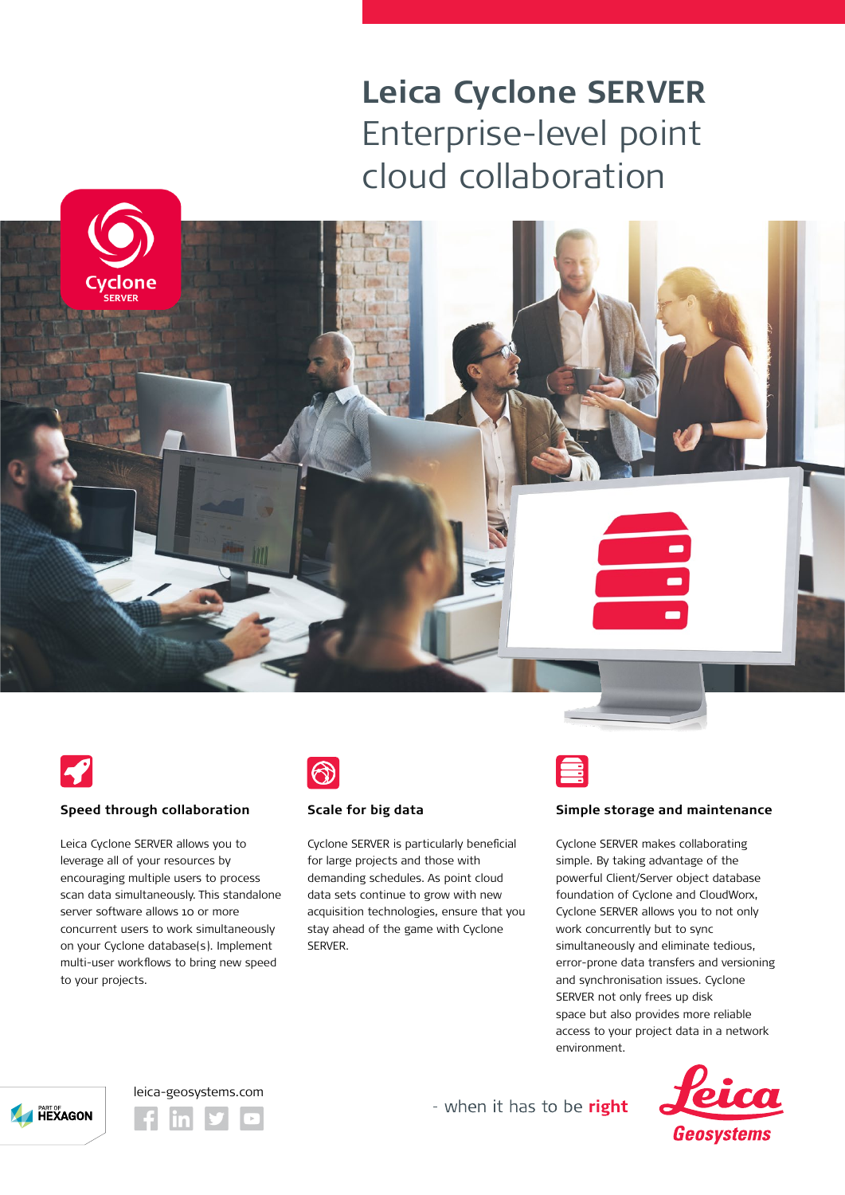## **Leica Cyclone SERVER** Enterprise-level point cloud collaboration





### **Speed through collaboration**

Leica Cyclone SERVER allows you to leverage all of your resources by encouraging multiple users to process scan data simultaneously. This standalone server software allows 10 or more concurrent users to work simultaneously on your Cyclone database(s). Implement multi-user workflows to bring new speed to your projects.



#### **Scale for big data**

Cyclone SERVER is particularly beneficial for large projects and those with demanding schedules. As point cloud data sets continue to grow with new acquisition technologies, ensure that you stay ahead of the game with Cyclone **SERVER** 



#### **Simple storage and maintenance**

Cyclone SERVER makes collaborating simple. By taking advantage of the powerful Client/Server object database foundation of Cyclone and CloudWorx, Cyclone SERVER allows you to not only work concurrently but to sync simultaneously and eliminate tedious, error-prone data transfers and versioning and synchronisation issues. Cyclone SERVER not only frees up disk space but also provides more reliable access to your project data in a network environment.







- when it has to be right